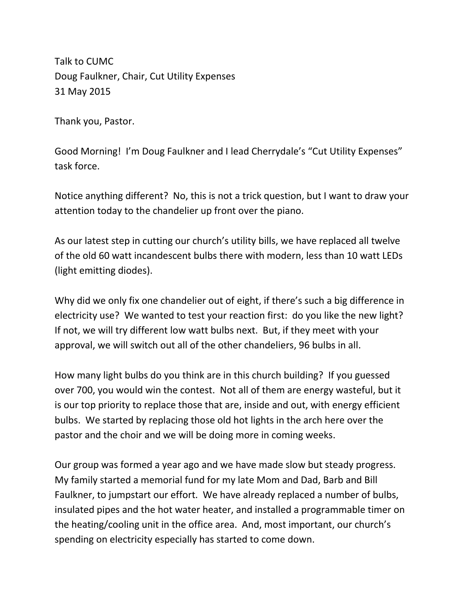Talk to CUMC Doug Faulkner, Chair, Cut Utility Expenses 31 May 2015

Thank you, Pastor.

Good Morning! I'm Doug Faulkner and I lead Cherrydale's "Cut Utility Expenses" task force.

Notice anything different? No, this is not a trick question, but I want to draw your attention today to the chandelier up front over the piano.

As our latest step in cutting our church's utility bills, we have replaced all twelve of the old 60 watt incandescent bulbs there with modern, less than 10 watt LEDs (light emitting diodes).

Why did we only fix one chandelier out of eight, if there's such a big difference in electricity use? We wanted to test your reaction first: do you like the new light? If not, we will try different low watt bulbs next. But, if they meet with your approval, we will switch out all of the other chandeliers, 96 bulbs in all.

How many light bulbs do you think are in this church building? If you guessed over 700, you would win the contest. Not all of them are energy wasteful, but it is our top priority to replace those that are, inside and out, with energy efficient bulbs. We started by replacing those old hot lights in the arch here over the pastor and the choir and we will be doing more in coming weeks.

Our group was formed a year ago and we have made slow but steady progress. My family started a memorial fund for my late Mom and Dad, Barb and Bill Faulkner, to jumpstart our effort. We have already replaced a number of bulbs, insulated pipes and the hot water heater, and installed a programmable timer on the heating/cooling unit in the office area. And, most important, our church's spending on electricity especially has started to come down.